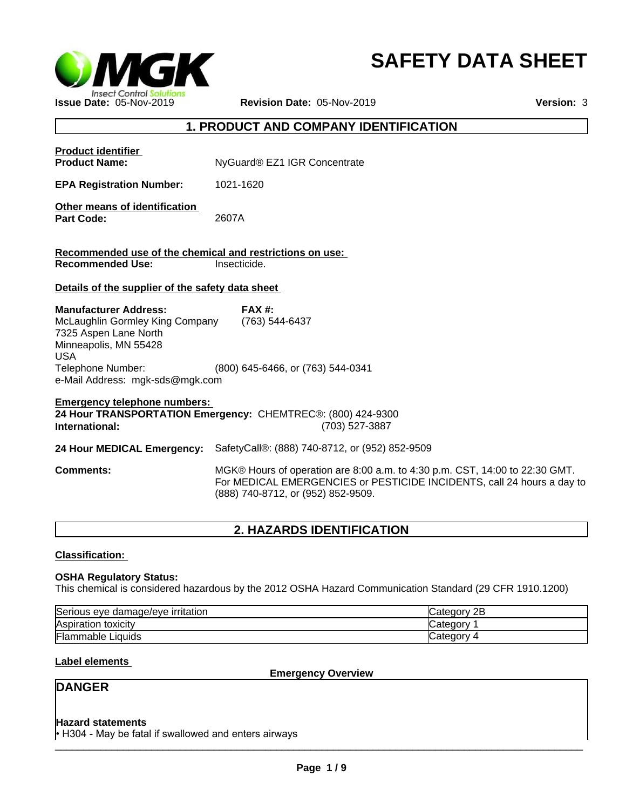

# **SAFETY DATA SHEET**

# **1. PRODUCT AND COMPANY IDENTIFICATION**

| <b>Product identifier</b>                                                                                                                                                               |                                                                                                                                                       |
|-----------------------------------------------------------------------------------------------------------------------------------------------------------------------------------------|-------------------------------------------------------------------------------------------------------------------------------------------------------|
| <b>Product Name:</b>                                                                                                                                                                    | NyGuard <sup>®</sup> EZ1 IGR Concentrate                                                                                                              |
| <b>EPA Registration Number:</b>                                                                                                                                                         | 1021-1620                                                                                                                                             |
| Other means of identification<br><b>Part Code:</b>                                                                                                                                      | 2607A                                                                                                                                                 |
| Recommended use of the chemical and restrictions on use:<br><b>Recommended Use:</b>                                                                                                     | Insecticide.                                                                                                                                          |
| Details of the supplier of the safety data sheet                                                                                                                                        |                                                                                                                                                       |
| <b>Manufacturer Address:</b><br>McLaughlin Gormley King Company<br>7325 Aspen Lane North<br>Minneapolis, MN 55428<br><b>USA</b><br>Telephone Number:<br>e-Mail Address: mgk-sds@mgk.com | $FAX#$ :<br>(763) 544-6437<br>(800) 645-6466, or (763) 544-0341                                                                                       |
| <b>Emergency telephone numbers:</b><br>International:                                                                                                                                   | 24 Hour TRANSPORTATION Emergency: CHEMTREC®: (800) 424-9300<br>(703) 527-3887                                                                         |
| 24 Hour MEDICAL Emergency:                                                                                                                                                              | SafetyCall®: (888) 740-8712, or (952) 852-9509                                                                                                        |
| <b>Comments:</b>                                                                                                                                                                        | MGK® Hours of operation are 8:00 a.m. to 4:30 p.m. CST, 14:00 to 22:30 GMT.<br>For MEDICAL EMERGENCIES or PESTICIDE INCIDENTS, call 24 hours a day to |

# **2. HAZARDS IDENTIFICATION**

# **Classification:**

#### **OSHA Regulatory Status:**

This chemical is considered hazardous by the 2012 OSHA Hazard Communication Standard (29 CFR 1910.1200)

| Serious<br>eve damage/eve irritation : | ם מ<br>Categor<br>∠⊏ |
|----------------------------------------|----------------------|
| Aspiration toxicity                    | ∵ategorٽ             |
| <b>Flammable Liquids</b>               | Categor <sup>y</sup> |

## **Label elements**

**Emergency Overview**

# **DANGER**

#### **Hazard statements**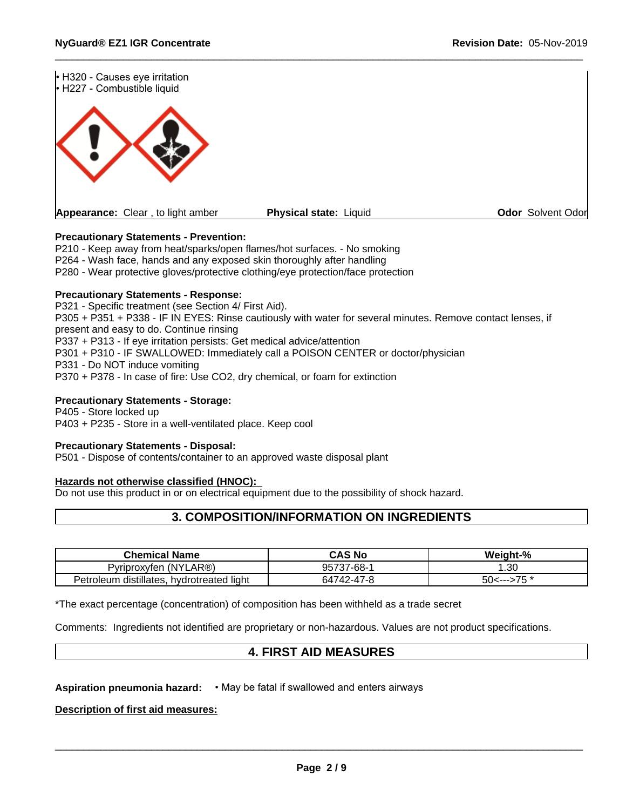

# **Precautionary Statements - Prevention:**

P210 - Keep away from heat/sparks/open flames/hot surfaces. - No smoking P264 - Wash face, hands and any exposed skin thoroughly after handling P280 - Wear protective gloves/protective clothing/eye protection/face protection

## **Precautionary Statements - Response:**

P321 - Specific treatment (see Section 4/ First Aid). P305 + P351 + P338 - IF IN EYES: Rinse cautiously with water for several minutes. Remove contact lenses, if present and easy to do. Continue rinsing P337 + P313 - If eye irritation persists: Get medical advice/attention P301 + P310 - IF SWALLOWED: Immediately call a POISON CENTER or doctor/physician P331 - Do NOT induce vomiting P370 + P378 - In case of fire: Use CO2, dry chemical, or foam for extinction

# **Precautionary Statements - Storage:**

P405 - Store locked up P403 + P235 - Store in a well-ventilated place. Keep cool

## **Precautionary Statements - Disposal:**

P501 - Dispose of contents/container to an approved waste disposal plant

## **Hazards not otherwise classified (HNOC):**

Do not use this product in or on electrical equipment due to the possibility of shock hazard.

# **3. COMPOSITION/INFORMATION ON INGREDIENTS**

| <b>Chemical Name</b>                                          | CAS No                          | Weight-%        |
|---------------------------------------------------------------|---------------------------------|-----------------|
| ∟AR®)<br>(NY)<br>Pyriproxyten                                 | -~-<br>7-68-<br>ΩĽ.<br>י יט וטט | . .30           |
| .<br>.<br>hvdrotreated light<br>Petro<br>distillates.<br>leum | 64742-47-8                      | $- -$<br>50<--- |

\*The exact percentage (concentration) of composition has been withheld as a trade secret

Comments: Ingredients not identified are proprietary or non-hazardous. Values are not product specifications.

# **4. FIRST AID MEASURES**

**Aspiration pneumonia hazard: • May be fatal if swallowed and enters airways** 

**Description of first aid measures:**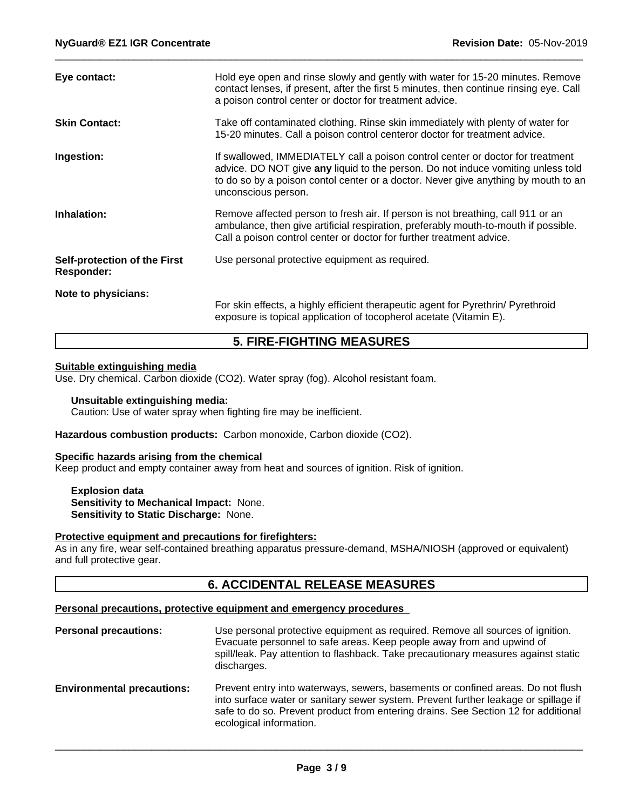| Eye contact:                                      | Hold eye open and rinse slowly and gently with water for 15-20 minutes. Remove<br>contact lenses, if present, after the first 5 minutes, then continue rinsing eye. Call<br>a poison control center or doctor for treatment advice.                                             |
|---------------------------------------------------|---------------------------------------------------------------------------------------------------------------------------------------------------------------------------------------------------------------------------------------------------------------------------------|
| <b>Skin Contact:</b>                              | Take off contaminated clothing. Rinse skin immediately with plenty of water for<br>15-20 minutes. Call a poison control centeror doctor for treatment advice.                                                                                                                   |
| Ingestion:                                        | If swallowed, IMMEDIATELY call a poison control center or doctor for treatment<br>advice. DO NOT give any liquid to the person. Do not induce vomiting unless told<br>to do so by a poison contol center or a doctor. Never give anything by mouth to an<br>unconscious person. |
| Inhalation:                                       | Remove affected person to fresh air. If person is not breathing, call 911 or an<br>ambulance, then give artificial respiration, preferably mouth-to-mouth if possible.<br>Call a poison control center or doctor for further treatment advice.                                  |
| Self-protection of the First<br><b>Responder:</b> | Use personal protective equipment as required.                                                                                                                                                                                                                                  |
| Note to physicians:                               | For skin effects, a highly efficient therapeutic agent for Pyrethrin/ Pyrethroid<br>exposure is topical application of tocopherol acetate (Vitamin E).                                                                                                                          |

# **5. FIRE-FIGHTING MEASURES**

#### **Suitable extinguishing media**

Use. Dry chemical. Carbon dioxide (CO2). Water spray (fog). Alcohol resistant foam.

## **Unsuitable extinguishing media:**

Caution: Use of water spray when fighting fire may be inefficient.

#### **Hazardous combustion products:** Carbon monoxide, Carbon dioxide (CO2).

## **Specific hazards arising from the chemical**

Keep product and empty container away from heat and sources of ignition. Risk of ignition.

**Explosion data Sensitivity to Mechanical Impact:** None. **Sensitivity to Static Discharge:** None.

#### **Protective equipment and precautions for firefighters:**

As in any fire, wear self-contained breathing apparatus pressure-demand, MSHA/NIOSH (approved or equivalent) and full protective gear.

# **6. ACCIDENTAL RELEASE MEASURES**

## **Personal precautions, protective equipment and emergency procedures**

| <b>Personal precautions:</b>      | Use personal protective equipment as required. Remove all sources of ignition.<br>Evacuate personnel to safe areas. Keep people away from and upwind of<br>spill/leak. Pay attention to flashback. Take precautionary measures against static<br>discharges.                            |
|-----------------------------------|-----------------------------------------------------------------------------------------------------------------------------------------------------------------------------------------------------------------------------------------------------------------------------------------|
| <b>Environmental precautions:</b> | Prevent entry into waterways, sewers, basements or confined areas. Do not flush<br>into surface water or sanitary sewer system. Prevent further leakage or spillage if<br>safe to do so. Prevent product from entering drains. See Section 12 for additional<br>ecological information. |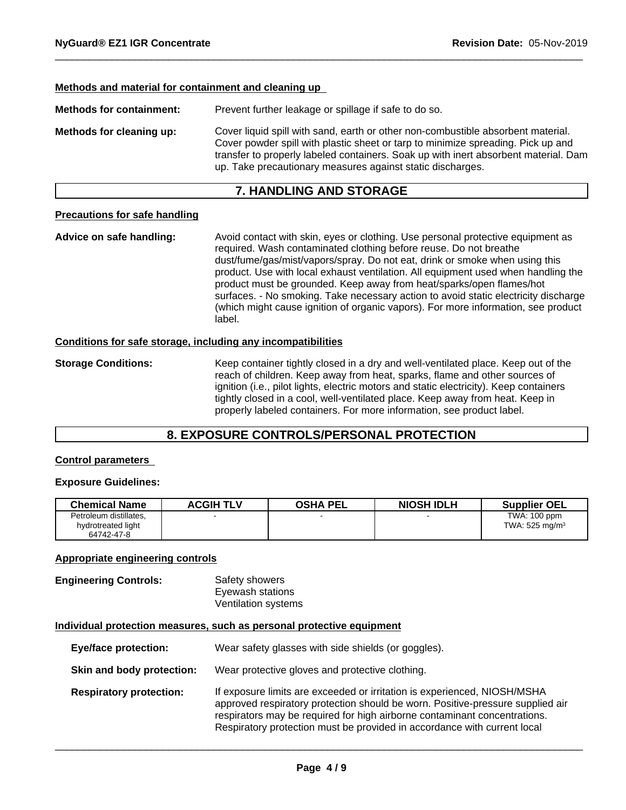#### **Methods and material for containment and cleaning up**

| <b>Methods for containment:</b> | Prevent further leakage or spillage if safe to do so.                                                                                                                                                                                                                                                                     |
|---------------------------------|---------------------------------------------------------------------------------------------------------------------------------------------------------------------------------------------------------------------------------------------------------------------------------------------------------------------------|
| Methods for cleaning up:        | Cover liquid spill with sand, earth or other non-combustible absorbent material.<br>Cover powder spill with plastic sheet or tarp to minimize spreading. Pick up and<br>transfer to properly labeled containers. Soak up with inert absorbent material. Dam<br>up. Take precautionary measures against static discharges. |

# **7. HANDLING AND STORAGE**

## **Precautions for safe handling**

**Advice on safe handling:** Avoid contact with skin, eyes or clothing. Use personal protective equipment as required. Wash contaminated clothing before reuse. Do not breathe dust/fume/gas/mist/vapors/spray. Do not eat, drink or smoke when using this product. Use with local exhaust ventilation. All equipment used when handling the product must be grounded. Keep away from heat/sparks/open flames/hot surfaces. - No smoking. Take necessary action to avoid static electricity discharge (which might cause ignition of organic vapors). For more information, see product label.

#### **Conditions for safe storage, including any incompatibilities**

**Storage Conditions:** Keep container tightly closed in a dry and well-ventilated place. Keep out of the reach of children. Keep away from heat, sparks, flame and other sources of ignition (i.e., pilot lights, electric motors and static electricity). Keep containers tightly closed in a cool, well-ventilated place. Keep away from heat. Keep in properly labeled containers. For more information, see product label.

# **8. EXPOSURE CONTROLS/PERSONAL PROTECTION**

## **Control parameters**

#### **Exposure Guidelines:**

| <b>Chemical Name</b>                         | <b>ACGIH TLV</b> | OSHA PEL | <b>NIOSH IDLH</b> | <b>Supplier OEL</b>                       |
|----------------------------------------------|------------------|----------|-------------------|-------------------------------------------|
| Petroleum distillates,<br>hydrotreated light |                  |          |                   | TWA: 100 ppm<br>TWA: $525 \text{ mg/m}^3$ |
| 64742-47-8                                   |                  |          |                   |                                           |

#### **Appropriate engineering controls**

**Engineering Controls:** Safety showers Eyewash stations Ventilation systems

#### **Individual protection measures, such as personal protective equipment**

**Eye/face protection:** Wear safety glasses with side shields (or goggles).

- **Skin and body protection:** Wear protective gloves and protective clothing.
- **Respiratory protection:** If exposure limits are exceeded or irritation is experienced, NIOSH/MSHA approved respiratory protection should be worn. Positive-pressure supplied air respirators may be required for high airborne contaminant concentrations. Respiratory protection must be provided in accordance with current local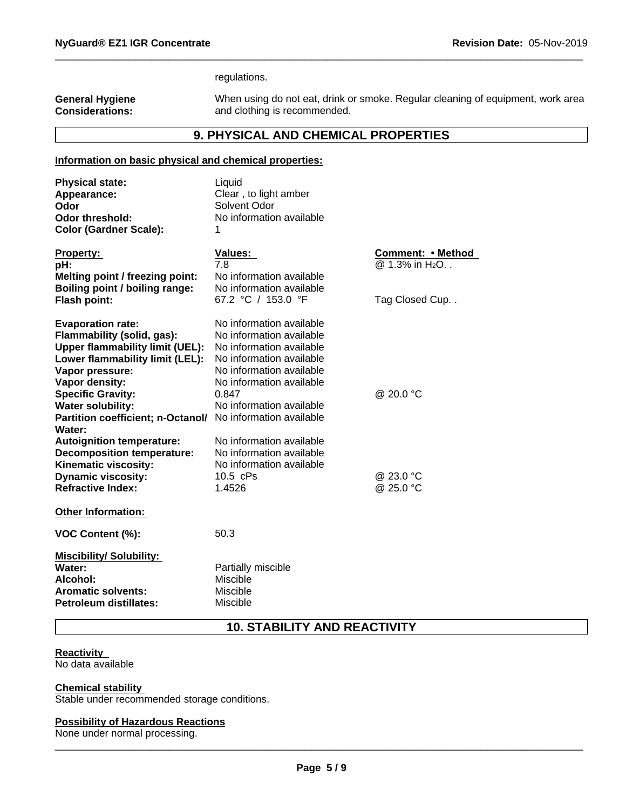regulations.

**General Hygiene Considerations:**

When using do not eat, drink or smoke. Regular cleaning of equipment, work area and clothing is recommended.

# **9. PHYSICAL AND CHEMICAL PROPERTIES**

# **Information on basic physical and chemical properties:**

| <b>Physical state:</b>                                     | Liquid                   |                            |
|------------------------------------------------------------|--------------------------|----------------------------|
| Appearance:                                                | Clear, to light amber    |                            |
| Odor                                                       | Solvent Odor             |                            |
| <b>Odor threshold:</b>                                     | No information available |                            |
| <b>Color (Gardner Scale):</b>                              |                          |                            |
| <b>Property:</b>                                           | Values:                  | Comment: • Method          |
| pH:                                                        | 7.8                      | @ 1.3% in H <sub>2</sub> O |
| Melting point / freezing point:                            | No information available |                            |
| Boiling point / boiling range:                             | No information available |                            |
| Flash point:                                               | 67.2 °C / 153.0 °F       | Tag Closed Cup             |
| <b>Evaporation rate:</b>                                   | No information available |                            |
| Flammability (solid, gas):                                 | No information available |                            |
| <b>Upper flammability limit (UEL):</b>                     | No information available |                            |
| Lower flammability limit (LEL):                            | No information available |                            |
| Vapor pressure:                                            | No information available |                            |
| Vapor density:                                             | No information available |                            |
| <b>Specific Gravity:</b>                                   | 0.847                    | @ 20.0 °C                  |
| <b>Water solubility:</b>                                   | No information available |                            |
| Partition coefficient; n-Octanol/ No information available |                          |                            |
| Water:                                                     |                          |                            |
| <b>Autoignition temperature:</b>                           | No information available |                            |
| <b>Decomposition temperature:</b>                          | No information available |                            |
| Kinematic viscosity:                                       | No information available |                            |
| <b>Dynamic viscosity:</b>                                  | 10.5 cPs                 | @ 23.0 °C                  |
| <b>Refractive Index:</b>                                   | 1.4526                   | @ 25.0 °C                  |
| <b>Other Information:</b>                                  |                          |                            |
| VOC Content (%):                                           | 50.3                     |                            |
| <b>Miscibility/Solubility:</b>                             |                          |                            |
| Water:                                                     | Partially miscible       |                            |
| Alcohol:                                                   | Miscible                 |                            |
| <b>Aromatic solvents:</b>                                  | Miscible                 |                            |
| <b>Petroleum distillates:</b>                              | Miscible                 |                            |

# **10. STABILITY AND REACTIVITY**

# **Reactivity**

No data available

## **Chemical stability**

Stable under recommended storage conditions.

# **Possibility of Hazardous Reactions**

None under normal processing.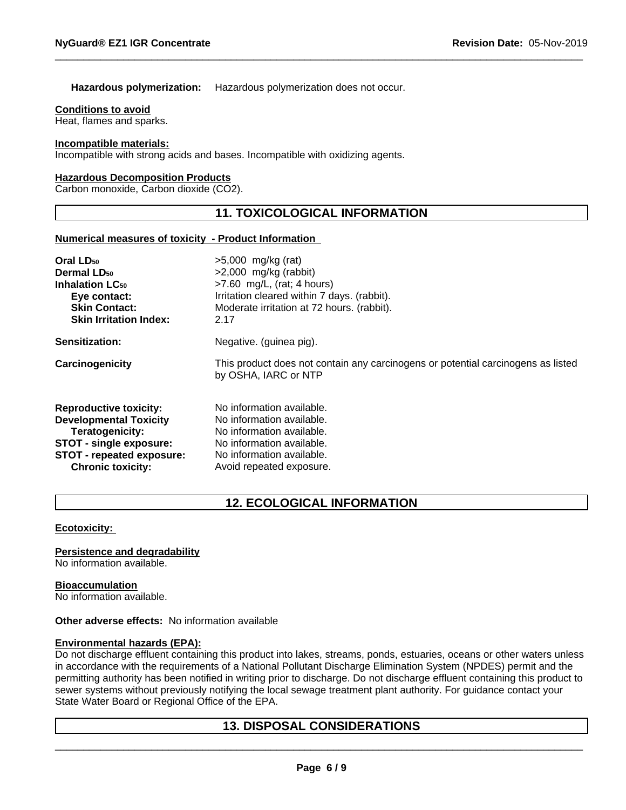# **Hazardous polymerization:** Hazardous polymerization does not occur.

#### **Conditions to avoid**

Heat, flames and sparks.

#### **Incompatible materials:**

Incompatible with strong acids and bases. Incompatible with oxidizing agents.

#### **Hazardous Decomposition Products**

Carbon monoxide, Carbon dioxide (CO2).

# **11. TOXICOLOGICAL INFORMATION**

### **Numerical measures of toxicity - Product Information**

**Chronic toxicity:** Avoid repeated exposure.

| Oral LD <sub>50</sub><br><b>Dermal LD<sub>50</sub></b><br><b>Inhalation LC<sub>50</sub></b><br>Eye contact: | $>5,000$ mg/kg (rat)<br>$>2,000$ mg/kg (rabbit)<br>$>7.60$ mg/L, (rat; 4 hours)<br>Irritation cleared within 7 days. (rabbit). |
|-------------------------------------------------------------------------------------------------------------|--------------------------------------------------------------------------------------------------------------------------------|
| <b>Skin Contact:</b><br><b>Skin Irritation Index:</b>                                                       | Moderate irritation at 72 hours. (rabbit).<br>2.17                                                                             |
| Sensitization:                                                                                              | Negative. (guinea pig).                                                                                                        |
| Carcinogenicity                                                                                             | This product does not contain any carcinogens or potential carcinogens as listed<br>by OSHA, IARC or NTP                       |
| <b>Reproductive toxicity:</b>                                                                               | No information available.                                                                                                      |
| <b>Developmental Toxicity</b>                                                                               | No information available.                                                                                                      |
| Teratogenicity:                                                                                             | No information available.                                                                                                      |
| STOT - single exposure:                                                                                     | No information available.                                                                                                      |
| STOT - repeated exposure:                                                                                   | No information available.                                                                                                      |

# **12. ECOLOGICAL INFORMATION**

#### **Ecotoxicity:**

**Persistence and degradability**

No information available.

# **Bioaccumulation**

No information available.

#### **Other adverse effects:** No information available

## **Environmental hazards (EPA):**

Do not discharge effluent containing this product into lakes, streams, ponds, estuaries, oceans or other waters unless in accordance with the requirements of a National Pollutant Discharge Elimination System (NPDES) permit and the permitting authority has been notified in writing prior to discharge. Do not discharge effluent containing this product to sewer systems without previously notifying the local sewage treatment plant authority. For guidance contact your State Water Board or Regional Office of the EPA.

# **13. DISPOSAL CONSIDERATIONS**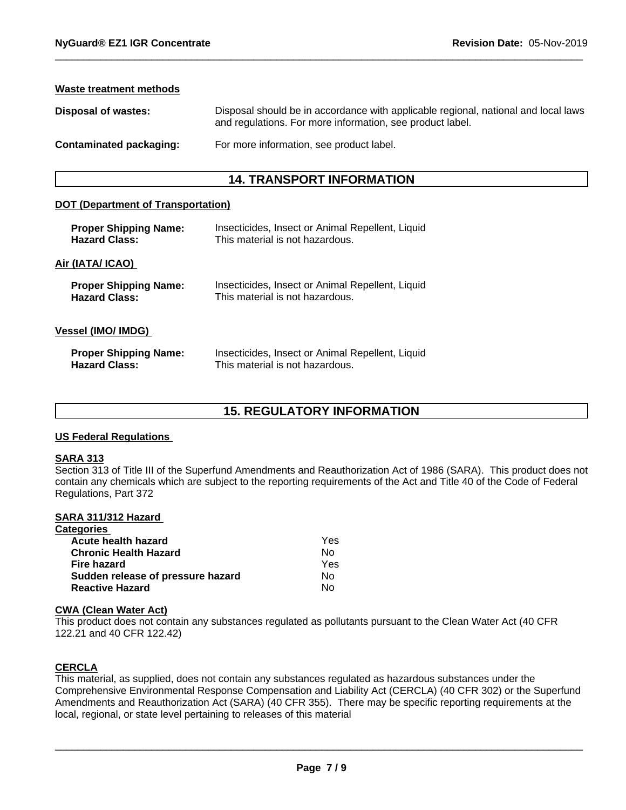#### **Waste treatment methods**

| Disposal of wastes:     | Disposal should be in accordance with applicable regional, national and local laws<br>and regulations. For more information, see product label. |
|-------------------------|-------------------------------------------------------------------------------------------------------------------------------------------------|
| Contaminated packaging: | For more information, see product label.                                                                                                        |

# **14. TRANSPORT INFORMATION**

## **DOT (Department of Transportation)**

| Insecticides, Insect or Animal Repellent, Liquid<br>This material is not hazardous. |
|-------------------------------------------------------------------------------------|
|                                                                                     |
| Insecticides, Insect or Animal Repellent, Liquid<br>This material is not hazardous. |
|                                                                                     |
| Insecticides, Insect or Animal Repellent, Liquid<br>This material is not hazardous. |
|                                                                                     |

# **15. REGULATORY INFORMATION**

#### **US Federal Regulations**

#### **SARA 313**

Section 313 of Title III of the Superfund Amendments and Reauthorization Act of 1986 (SARA). This product does not contain any chemicals which are subject to the reporting requirements of the Act and Title 40 of the Code of Federal Regulations, Part 372

#### **SARA 311/312 Hazard**

| <b>Categories</b>                 |     |  |
|-----------------------------------|-----|--|
| <b>Acute health hazard</b>        | Yes |  |
| <b>Chronic Health Hazard</b>      | Nο  |  |
| Fire hazard                       | Yes |  |
| Sudden release of pressure hazard | No  |  |
| <b>Reactive Hazard</b>            | No  |  |

## **CWA (Clean Water Act)**

This product does not contain any substances regulated as pollutants pursuant to the Clean Water Act (40 CFR 122.21 and 40 CFR 122.42)

# **CERCLA**

This material, as supplied, does not contain any substances regulated as hazardous substances under the Comprehensive Environmental Response Compensation and Liability Act (CERCLA) (40 CFR 302) or the Superfund Amendments and Reauthorization Act (SARA) (40 CFR 355). There may be specific reporting requirements at the local, regional, or state level pertaining to releases of this material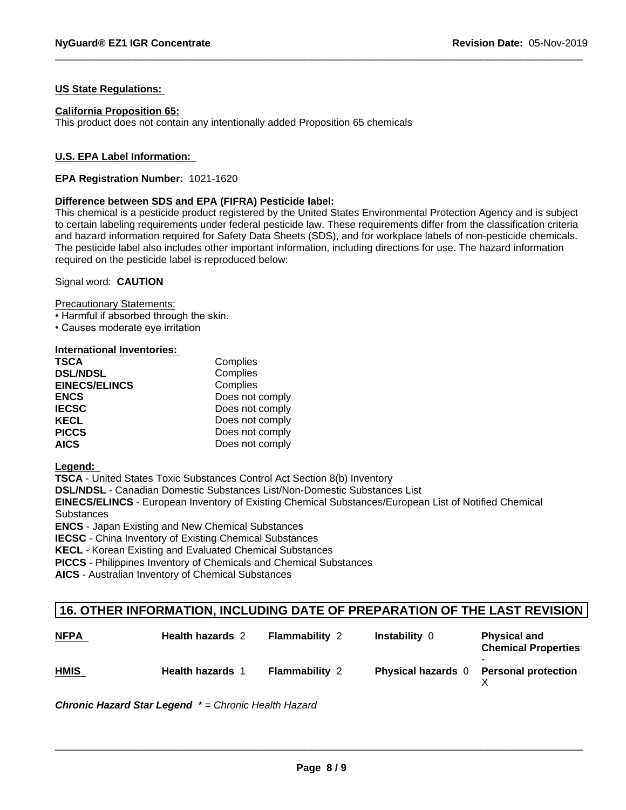## **US State Regulations:**

### **California Proposition 65:**

This product does not contain any intentionally added Proposition 65 chemicals

## **U.S. EPA Label Information:**

### **EPA Registration Number:** 1021-1620

#### **Difference between SDS and EPA (FIFRA) Pesticide label:**

This chemical is a pesticide product registered by the United States Environmental Protection Agency and is subject to certain labeling requirements under federal pesticide law. These requirements differ from the classification criteria and hazard information required for Safety Data Sheets (SDS), and for workplace labels of non-pesticide chemicals. The pesticide label also includes other important information, including directions for use. The hazard information required on the pesticide label is reproduced below:

Signal word: **CAUTION**

Precautionary Statements:

- Harmful if absorbed through the skin.
- Causes moderate eye irritation

#### **International Inventories:**

| <b>TSCA</b>          | Complies        |  |
|----------------------|-----------------|--|
| <b>DSL/NDSL</b>      | Complies        |  |
| <b>EINECS/ELINCS</b> | Complies        |  |
| <b>ENCS</b>          | Does not comply |  |
| <b>IECSC</b>         | Does not comply |  |
| <b>KECL</b>          | Does not comply |  |
| <b>PICCS</b>         | Does not comply |  |
| <b>AICS</b>          | Does not comply |  |

**Legend:** 

**TSCA** - United States Toxic Substances Control Act Section 8(b) Inventory

**DSL/NDSL** - Canadian Domestic Substances List/Non-Domestic Substances List

**EINECS/ELINCS** - European Inventory of Existing Chemical Substances/European List of Notified Chemical **Substances** 

**ENCS** - Japan Existing and New Chemical Substances

**IECSC** - China Inventory of Existing Chemical Substances

**KECL** - Korean Existing and Evaluated Chemical Substances

**PICCS** - Philippines Inventory of Chemicals and Chemical Substances

**AICS** - Australian Inventory of Chemical Substances

# **16. OTHER INFORMATION, INCLUDING DATE OF PREPARATION OF THE LAST REVISION**

| <b>NFPA</b> | <b>Health hazards 2</b> | <b>Flammability 2</b> | <b>Instability 0</b>      | <b>Physical and</b><br><b>Chemical Properties</b> |
|-------------|-------------------------|-----------------------|---------------------------|---------------------------------------------------|
| <b>HMIS</b> | <b>Health hazards 1</b> | <b>Flammability 2</b> | <b>Physical hazards</b> 0 | <b>Personal protection</b>                        |

*Chronic Hazard Star Legend \* = Chronic Health Hazard*